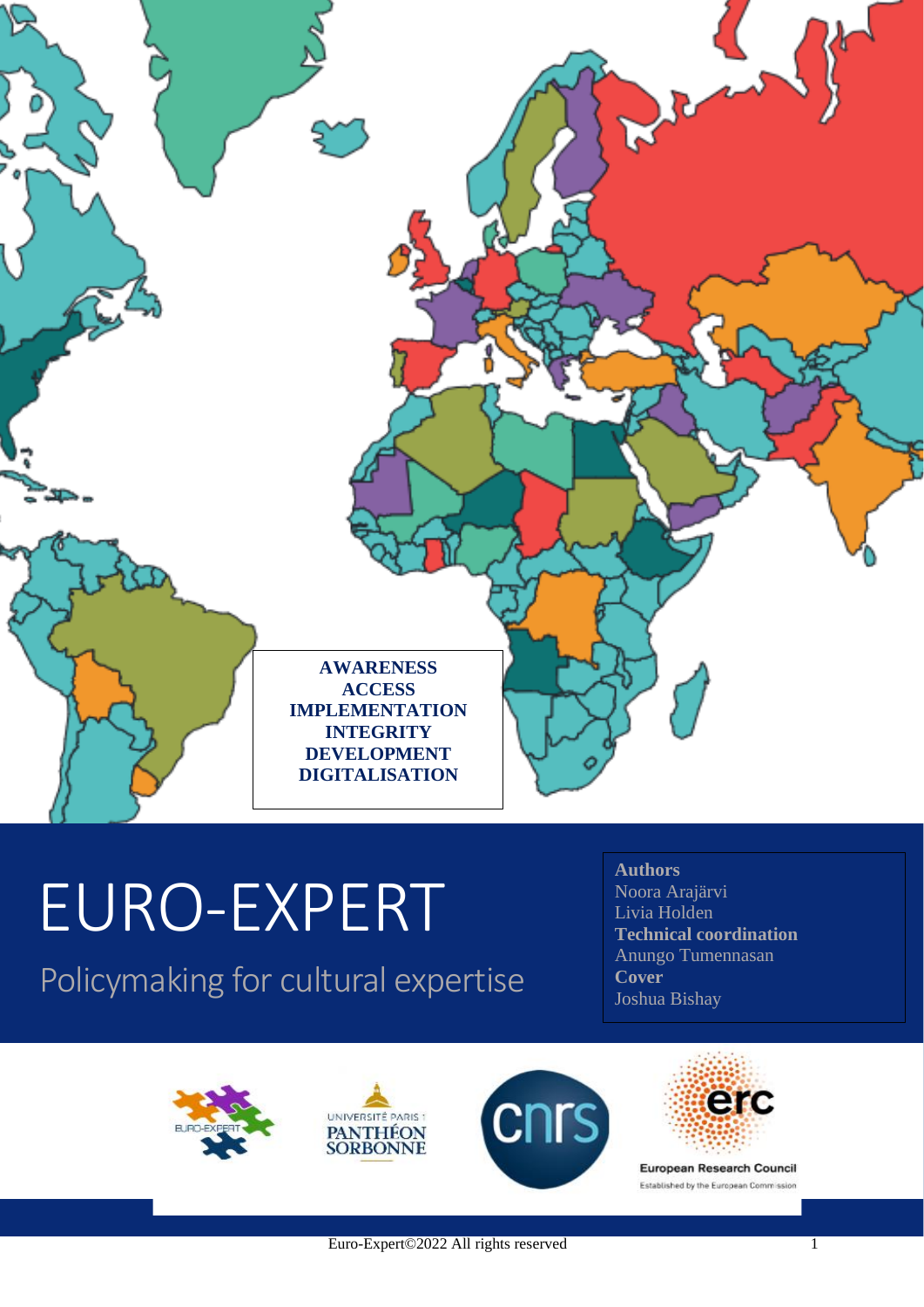

# EURO-EXPERT

Policymaking for cultural expertise

**Authors** Noora Arajärvi Livia Holden **Technical coordination** Anungo Tumennasan **Cover** Joshua Bishay

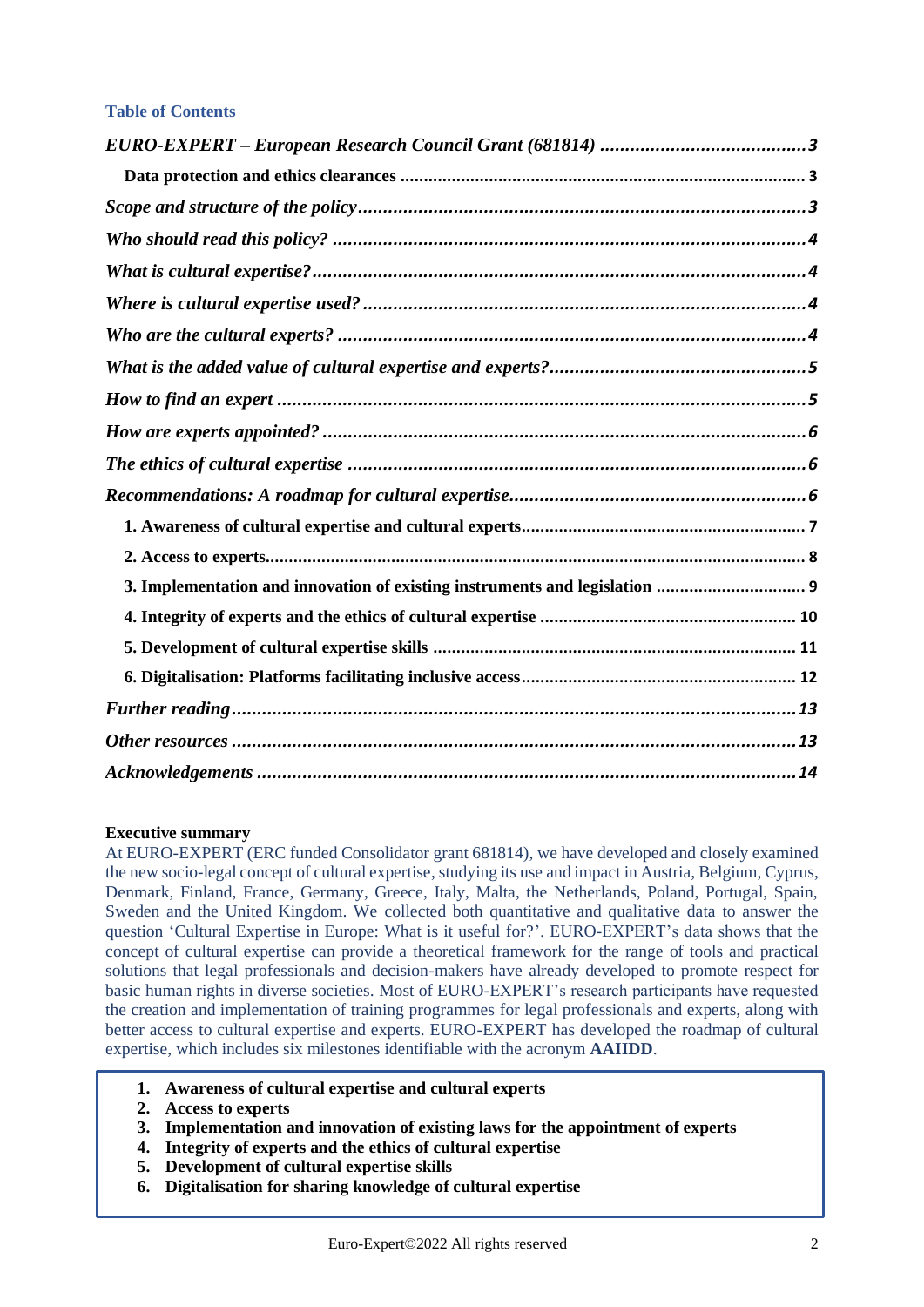## **Table of Contents**

| 3. Implementation and innovation of existing instruments and legislation  9 |  |
|-----------------------------------------------------------------------------|--|
|                                                                             |  |
|                                                                             |  |
|                                                                             |  |
|                                                                             |  |
|                                                                             |  |
|                                                                             |  |
|                                                                             |  |
|                                                                             |  |
|                                                                             |  |
|                                                                             |  |
|                                                                             |  |
|                                                                             |  |
|                                                                             |  |
|                                                                             |  |
|                                                                             |  |
|                                                                             |  |
|                                                                             |  |
|                                                                             |  |
|                                                                             |  |
|                                                                             |  |

## **Executive summary**

At EURO-EXPERT (ERC funded Consolidator grant 681814), we have developed and closely examined the new socio-legal concept of cultural expertise, studying its use and impact in Austria, Belgium, Cyprus, Denmark, Finland, France, Germany, Greece, Italy, Malta, the Netherlands, Poland, Portugal, Spain, Sweden and the United Kingdom. We collected both quantitative and qualitative data to answer the question 'Cultural Expertise in Europe: What is it useful for?'. EURO-EXPERT's data shows that the concept of cultural expertise can provide a theoretical framework for the range of tools and practical solutions that legal professionals and decision-makers have already developed to promote respect for basic human rights in diverse societies. Most of EURO-EXPERT's research participants have requested the creation and implementation of training programmes for legal professionals and experts, along with better access to cultural expertise and experts. EURO-EXPERT has developed the roadmap of cultural expertise, which includes six milestones identifiable with the acronym **AAIIDD**.

- **1. Awareness of cultural expertise and cultural experts**
- **2. Access to experts**
- **3. Implementation and innovation of existing laws for the appointment of experts**
- **4. Integrity of experts and the ethics of cultural expertise**
- **5. Development of cultural expertise skills**
- **6. Digitalisation for sharing knowledge of cultural expertise**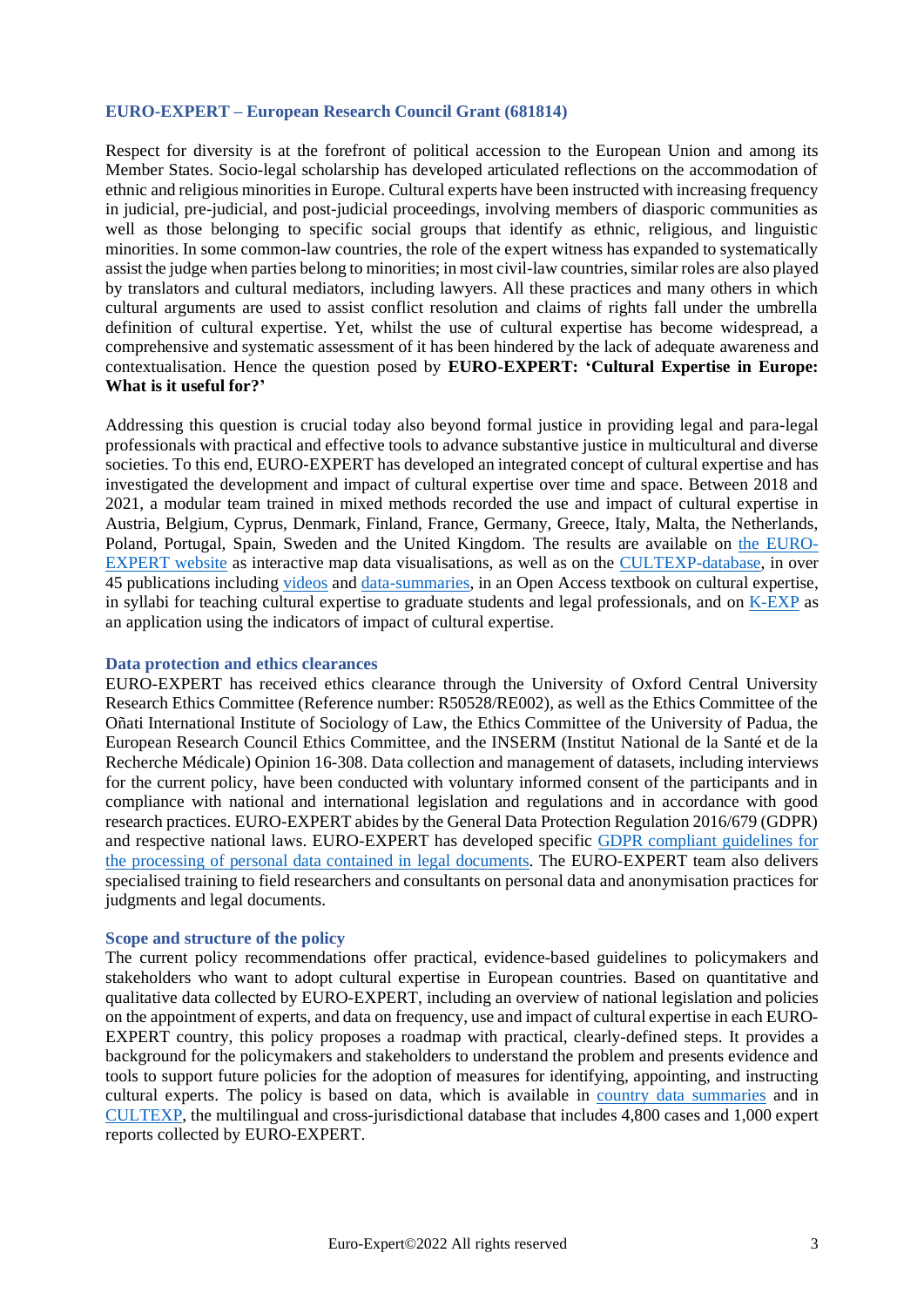#### <span id="page-2-0"></span>**EURO-EXPERT – European Research Council Grant (681814)**

Respect for diversity is at the forefront of political accession to the European Union and among its Member States. Socio-legal scholarship has developed articulated reflections on the accommodation of ethnic and religious minorities in Europe. Cultural experts have been instructed with increasing frequency in judicial, pre-judicial, and post-judicial proceedings, involving members of diasporic communities as well as those belonging to specific social groups that identify as ethnic, religious, and linguistic minorities. In some common-law countries, the role of the expert witness has expanded to systematically assist the judge when parties belong to minorities; in most civil-law countries, similar roles are also played by translators and cultural mediators, including lawyers. All these practices and many others in which cultural arguments are used to assist conflict resolution and claims of rights fall under the umbrella definition of cultural expertise. Yet, whilst the use of cultural expertise has become widespread, a comprehensive and systematic assessment of it has been hindered by the lack of adequate awareness and contextualisation. Hence the question posed by **EURO-EXPERT: 'Cultural Expertise in Europe: What is it useful for?'**

Addressing this question is crucial today also beyond formal justice in providing legal and para-legal professionals with practical and effective tools to advance substantive justice in multicultural and diverse societies. To this end, EURO-EXPERT has developed an integrated concept of cultural expertise and has investigated the development and impact of cultural expertise over time and space. Between 2018 and 2021, a modular team trained in mixed methods recorded the use and impact of cultural expertise in Austria, Belgium, Cyprus, Denmark, Finland, France, Germany, Greece, Italy, Malta, the Netherlands, Poland, Portugal, Spain, Sweden and the United Kingdom. The results are available on [the EURO-](https://culturalexpertise.net/)[EXPERT website](https://culturalexpertise.net/) as interactive map data visualisations, as well as on the [CULTEXP-database,](https://culturalexpertise.net/cultexp/) in over 45 publications including [videos](https://culturalexpertise.net/#videos) and [data-summaries,](https://culturalexpertise.net/#publications) in an Open Access textbook on cultural expertise, in syllabi for teaching cultural expertise to graduate students and legal professionals, and on [K-EXP](https://culturalexpertise.net/k-exp/login) as an application using the indicators of impact of cultural expertise.

#### <span id="page-2-1"></span>**Data protection and ethics clearances**

EURO-EXPERT has received ethics clearance through the University of Oxford Central University Research Ethics Committee (Reference number: R50528/RE002), as well as the Ethics Committee of the Oñati International Institute of Sociology of Law, the Ethics Committee of the University of Padua, the European Research Council Ethics Committee, and the INSERM (Institut National de la Santé et de la Recherche Médicale) Opinion 16-308. Data collection and management of datasets, including interviews for the current policy, have been conducted with voluntary informed consent of the participants and in compliance with national and international legislation and regulations and in accordance with good research practices. EURO-EXPERT abides by the General Data Protection Regulation 2016/679 (GDPR) and respective national laws. EURO-EXPERT has developed specific [GDPR compliant guidelines for](https://culturalexpertise.net/wp-content/uploads/2022/01/gdprcompliantguidelinesforlegaldocuments.pdf)  the processing [of personal data contained in legal](https://culturalexpertise.net/wp-content/uploads/2022/01/gdprcompliantguidelinesforlegaldocuments.pdf) documents. The EURO-EXPERT team also delivers specialised training to field researchers and consultants on personal data and anonymisation practices for judgments and legal documents.

#### <span id="page-2-2"></span>**Scope and structure of the policy**

The current policy recommendations offer practical, evidence-based guidelines to policymakers and stakeholders who want to adopt cultural expertise in European countries. Based on quantitative and qualitative data collected by EURO-EXPERT, including an overview of national legislation and policies on the appointment of experts, and data on frequency, use and impact of cultural expertise in each EURO-EXPERT country, this policy proposes a roadmap with practical, clearly-defined steps. It provides a background for the policymakers and stakeholders to understand the problem and presents evidence and tools to support future policies for the adoption of measures for identifying, appointing, and instructing cultural experts. The policy is based on data, which is available in [country data summaries](https://culturalexpertise.net/#publications) and in [CULTEXP,](https://culturalexpertise.net/cultexp/) the multilingual and cross-jurisdictional database that includes 4,800 cases and 1,000 expert reports collected by EURO-EXPERT.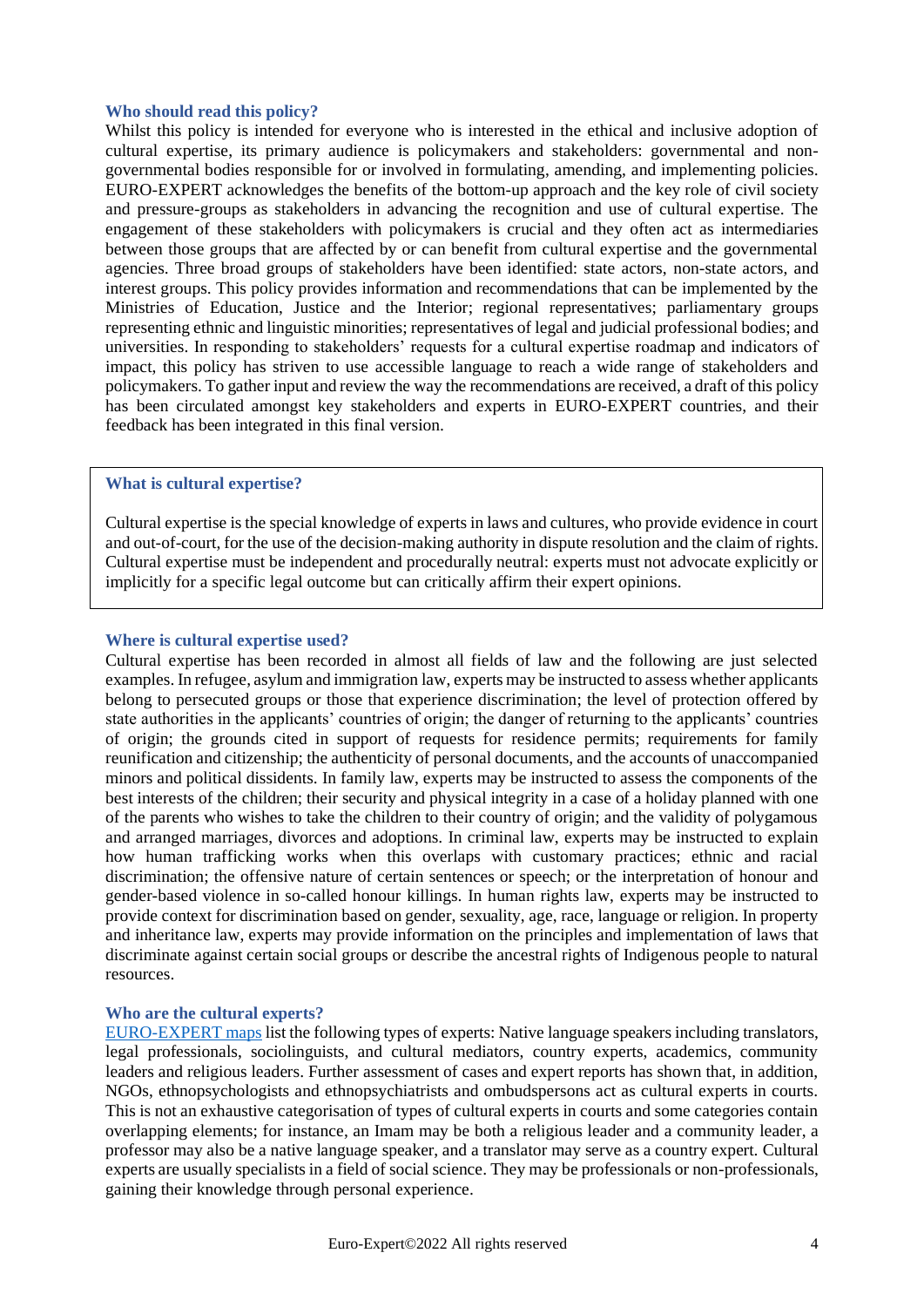## <span id="page-3-0"></span>**Who should read this policy?**

Whilst this policy is intended for everyone who is interested in the ethical and inclusive adoption of cultural expertise, its primary audience is policymakers and stakeholders: governmental and nongovernmental bodies responsible for or involved in formulating, amending, and implementing policies. EURO-EXPERT acknowledges the benefits of the bottom-up approach and the key role of civil society and pressure-groups as stakeholders in advancing the recognition and use of cultural expertise. The engagement of these stakeholders with policymakers is crucial and they often act as intermediaries between those groups that are affected by or can benefit from cultural expertise and the governmental agencies. Three broad groups of stakeholders have been identified: state actors, non-state actors, and interest groups. This policy provides information and recommendations that can be implemented by the Ministries of Education, Justice and the Interior; regional representatives; parliamentary groups representing ethnic and linguistic minorities; representatives of legal and judicial professional bodies; and universities. In responding to stakeholders' requests for a cultural expertise roadmap and indicators of impact, this policy has striven to use accessible language to reach a wide range of stakeholders and policymakers. To gather input and review the way the recommendations are received, a draft of this policy has been circulated amongst key stakeholders and experts in EURO-EXPERT countries, and their feedback has been integrated in this final version.

## <span id="page-3-1"></span>**What is cultural expertise?**

Cultural expertise is the special knowledge of experts in laws and cultures, who provide evidence in court and out-of-court, for the use of the decision-making authority in dispute resolution and the claim of rights. Cultural expertise must be independent and procedurally neutral: experts must not advocate explicitly or implicitly for a specific legal outcome but can critically affirm their expert opinions.

#### <span id="page-3-2"></span>**Where is cultural expertise used?**

Cultural expertise has been recorded in almost all fields of law and the following are just selected examples. In refugee, asylum and immigration law, experts may be instructed to assess whether applicants belong to persecuted groups or those that experience discrimination; the level of protection offered by state authorities in the applicants' countries of origin; the danger of returning to the applicants' countries of origin; the grounds cited in support of requests for residence permits; requirements for family reunification and citizenship; the authenticity of personal documents, and the accounts of unaccompanied minors and political dissidents. In family law, experts may be instructed to assess the components of the best interests of the children; their security and physical integrity in a case of a holiday planned with one of the parents who wishes to take the children to their country of origin; and the validity of polygamous and arranged marriages, divorces and adoptions. In criminal law, experts may be instructed to explain how human trafficking works when this overlaps with customary practices; ethnic and racial discrimination; the offensive nature of certain sentences or speech; or the interpretation of honour and gender-based violence in so-called honour killings. In human rights law, experts may be instructed to provide context for discrimination based on gender, sexuality, age, race, language or religion. In property and inheritance law, experts may provide information on the principles and implementation of laws that discriminate against certain social groups or describe the ancestral rights of Indigenous people to natural resources.

#### <span id="page-3-3"></span>**Who are the cultural experts?**

[EURO-EXPERT](https://culturalexpertise.net/visualisation/) maps list the following types of experts: Native language speakers including translators, legal professionals, sociolinguists, and cultural mediators, country experts, academics, community leaders and religious leaders. Further assessment of cases and expert reports has shown that, in addition, NGOs, ethnopsychologists and ethnopsychiatrists and ombudspersons act as cultural experts in courts. This is not an exhaustive categorisation of types of cultural experts in courts and some categories contain overlapping elements; for instance, an Imam may be both a religious leader and a community leader, a professor may also be a native language speaker, and a translator may serve as a country expert. Cultural experts are usually specialists in a field of social science. They may be professionals or non-professionals, gaining their knowledge through personal experience.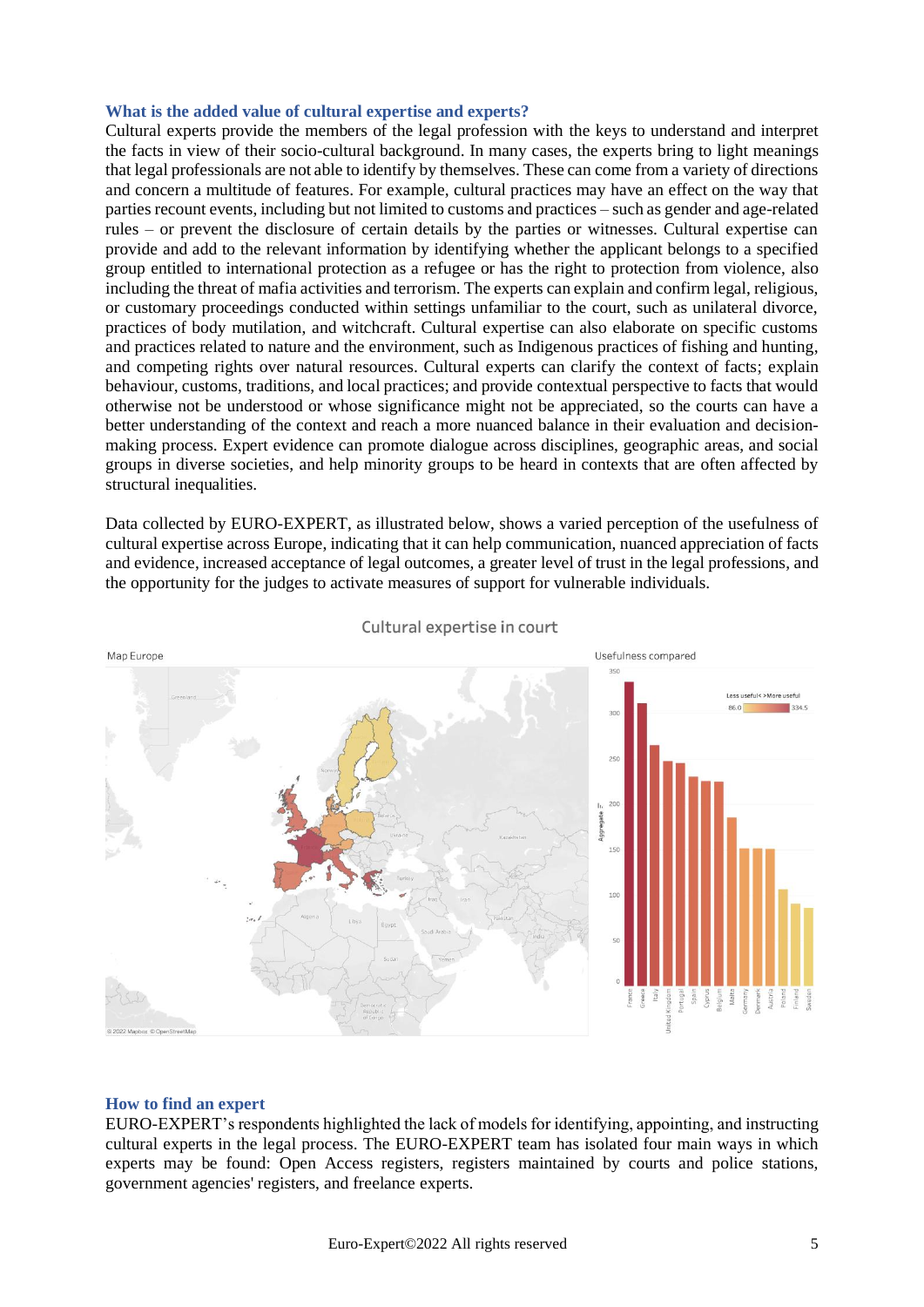## <span id="page-4-0"></span>**What is the added value of cultural expertise and experts?**

Cultural experts provide the members of the legal profession with the keys to understand and interpret the facts in view of their socio-cultural background. In many cases, the experts bring to light meanings that legal professionals are not able to identify by themselves. These can come from a variety of directions and concern a multitude of features. For example, cultural practices may have an effect on the way that parties recount events, including but not limited to customs and practices – such as gender and age-related rules – or prevent the disclosure of certain details by the parties or witnesses. Cultural expertise can provide and add to the relevant information by identifying whether the applicant belongs to a specified group entitled to international protection as a refugee or has the right to protection from violence, also including the threat of mafia activities and terrorism. The experts can explain and confirm legal, religious, or customary proceedings conducted within settings unfamiliar to the court, such as unilateral divorce, practices of body mutilation, and witchcraft. Cultural expertise can also elaborate on specific customs and practices related to nature and the environment, such as Indigenous practices of fishing and hunting, and competing rights over natural resources. Cultural experts can clarify the context of facts; explain behaviour, customs, traditions, and local practices; and provide contextual perspective to facts that would otherwise not be understood or whose significance might not be appreciated, so the courts can have a better understanding of the context and reach a more nuanced balance in their evaluation and decisionmaking process. Expert evidence can promote dialogue across disciplines, geographic areas, and social groups in diverse societies, and help minority groups to be heard in contexts that are often affected by structural inequalities.

Data collected by EURO-EXPERT, as illustrated below, shows a varied perception of the usefulness of cultural expertise across Europe, indicating that it can help communication, nuanced appreciation of facts and evidence, increased acceptance of legal outcomes, a greater level of trust in the legal professions, and the opportunity for the judges to activate measures of support for vulnerable individuals.



Cultural expertise in court

#### <span id="page-4-1"></span>**How to find an expert**

EURO-EXPERT's respondents highlighted the lack of models for identifying, appointing, and instructing cultural experts in the legal process. The EURO-EXPERT team has isolated four main ways in which experts may be found: Open Access registers, registers maintained by courts and police stations, government agencies' registers, and freelance experts.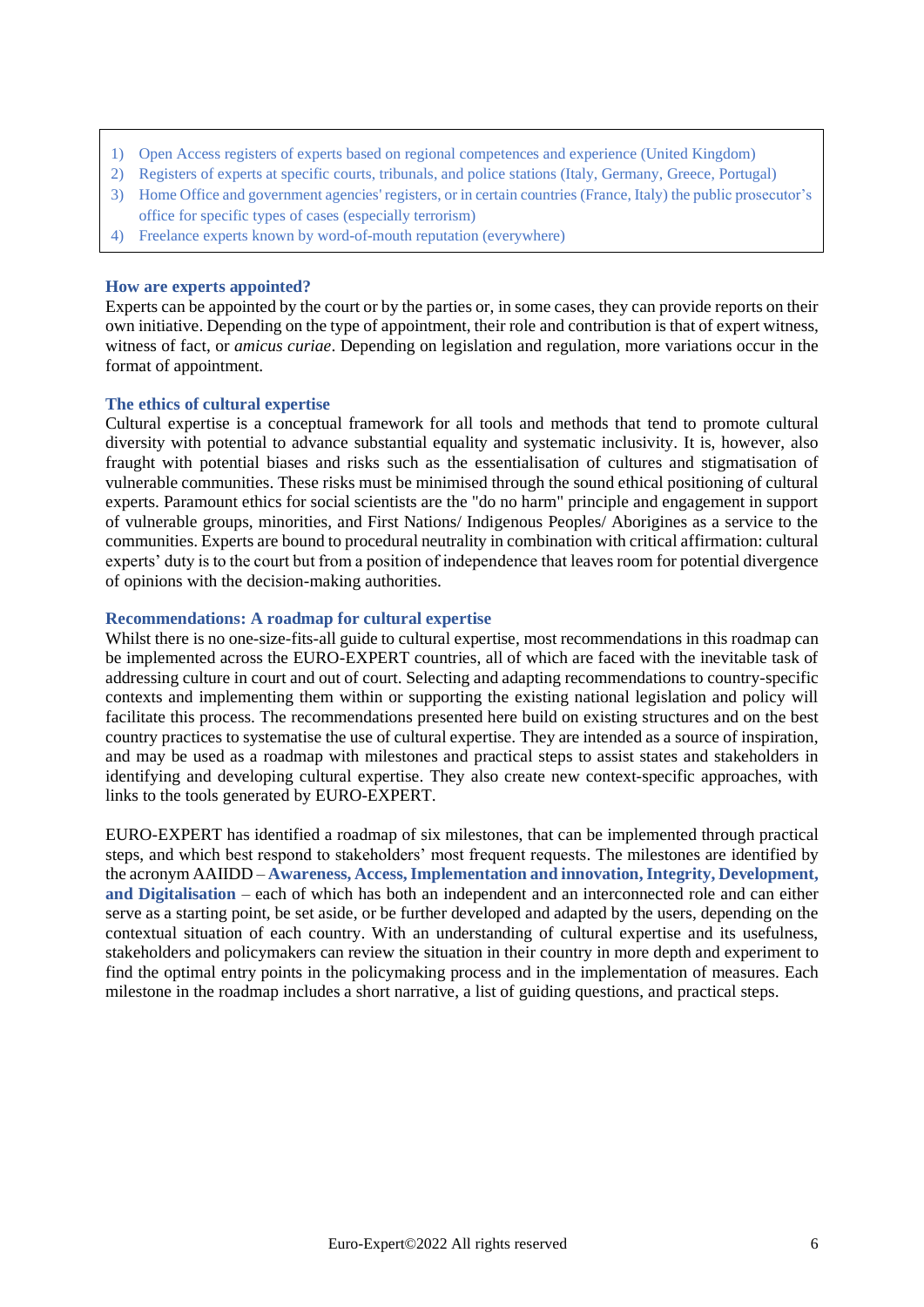- 1) Open Access registers of experts based on regional competences and experience (United Kingdom)
- 2) Registers of experts at specific courts, tribunals, and police stations (Italy, Germany, Greece, Portugal)
- 3) Home Office and government agencies' registers, or in certain countries (France, Italy) the public prosecutor's office for specific types of cases (especially terrorism)
- 4) Freelance experts known by word-of-mouth reputation (everywhere)

#### <span id="page-5-0"></span>**How are experts appointed?**

Experts can be appointed by the court or by the parties or, in some cases, they can provide reports on their own initiative. Depending on the type of appointment, their role and contribution is that of expert witness, witness of fact, or *amicus curiae*. Depending on legislation and regulation, more variations occur in the format of appointment.

#### <span id="page-5-1"></span>**The ethics of cultural expertise**

Cultural expertise is a conceptual framework for all tools and methods that tend to promote cultural diversity with potential to advance substantial equality and systematic inclusivity. It is, however, also fraught with potential biases and risks such as the essentialisation of cultures and stigmatisation of vulnerable communities. These risks must be minimised through the sound ethical positioning of cultural experts. Paramount ethics for social scientists are the "do no harm" principle and engagement in support of vulnerable groups, minorities, and First Nations/ Indigenous Peoples/ Aborigines as a service to the communities. Experts are bound to procedural neutrality in combination with critical affirmation: cultural experts' duty is to the court but from a position of independence that leaves room for potential divergence of opinions with the decision-making authorities.

#### <span id="page-5-2"></span>**Recommendations: A roadmap for cultural expertise**

Whilst there is no one-size-fits-all guide to cultural expertise, most recommendations in this roadmap can be implemented across the EURO-EXPERT countries, all of which are faced with the inevitable task of addressing culture in court and out of court. Selecting and adapting recommendations to country-specific contexts and implementing them within or supporting the existing national legislation and policy will facilitate this process. The recommendations presented here build on existing structures and on the best country practices to systematise the use of cultural expertise. They are intended as a source of inspiration, and may be used as a roadmap with milestones and practical steps to assist states and stakeholders in identifying and developing cultural expertise. They also create new context-specific approaches, with links to the tools generated by EURO-EXPERT.

EURO-EXPERT has identified a roadmap of six milestones, that can be implemented through practical steps, and which best respond to stakeholders' most frequent requests. The milestones are identified by the acronym AAIIDD – **Awareness, Access, Implementation and innovation, Integrity, Development, and Digitalisation** – each of which has both an independent and an interconnected role and can either serve as a starting point, be set aside, or be further developed and adapted by the users, depending on the contextual situation of each country. With an understanding of cultural expertise and its usefulness, stakeholders and policymakers can review the situation in their country in more depth and experiment to find the optimal entry points in the policymaking process and in the implementation of measures. Each milestone in the roadmap includes a short narrative, a list of guiding questions, and practical steps.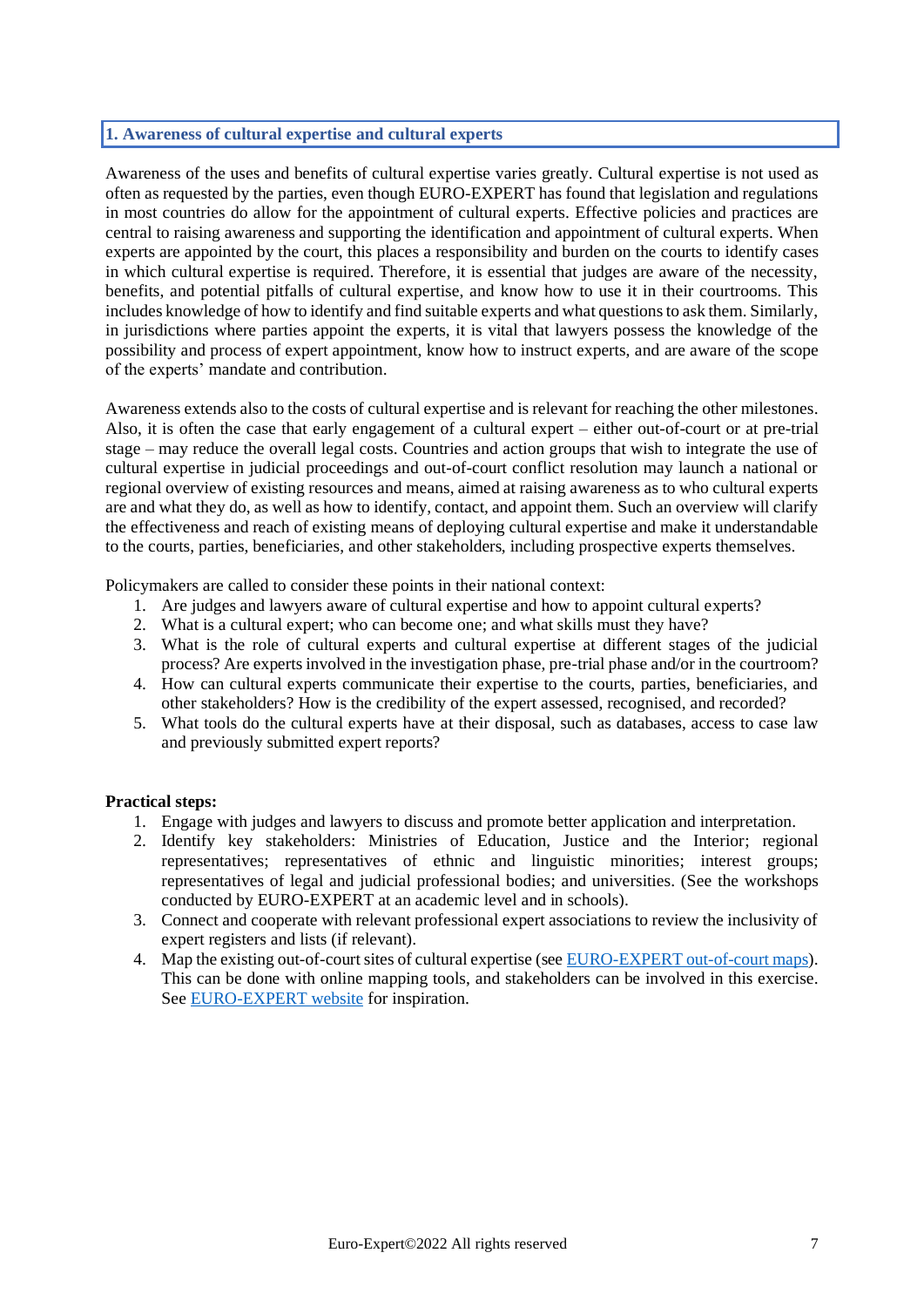## <span id="page-6-0"></span>**1. Awareness of cultural expertise and cultural experts**

Awareness of the uses and benefits of cultural expertise varies greatly. Cultural expertise is not used as often as requested by the parties, even though EURO-EXPERT has found that legislation and regulations in most countries do allow for the appointment of cultural experts. Effective policies and practices are central to raising awareness and supporting the identification and appointment of cultural experts. When experts are appointed by the court, this places a responsibility and burden on the courts to identify cases in which cultural expertise is required. Therefore, it is essential that judges are aware of the necessity, benefits, and potential pitfalls of cultural expertise, and know how to use it in their courtrooms. This includes knowledge of how to identify and find suitable experts and what questions to ask them. Similarly, in jurisdictions where parties appoint the experts, it is vital that lawyers possess the knowledge of the possibility and process of expert appointment, know how to instruct experts, and are aware of the scope of the experts' mandate and contribution.

Awareness extends also to the costs of cultural expertise and is relevant for reaching the other milestones. Also, it is often the case that early engagement of a cultural expert – either out-of-court or at pre-trial stage – may reduce the overall legal costs. Countries and action groups that wish to integrate the use of cultural expertise in judicial proceedings and out-of-court conflict resolution may launch a national or regional overview of existing resources and means, aimed at raising awareness as to who cultural experts are and what they do, as well as how to identify, contact, and appoint them. Such an overview will clarify the effectiveness and reach of existing means of deploying cultural expertise and make it understandable to the courts, parties, beneficiaries, and other stakeholders, including prospective experts themselves.

Policymakers are called to consider these points in their national context:

- 1. Are judges and lawyers aware of cultural expertise and how to appoint cultural experts?
- 2. What is a cultural expert; who can become one; and what skills must they have?
- 3. What is the role of cultural experts and cultural expertise at different stages of the judicial process? Are experts involved in the investigation phase, pre-trial phase and/or in the courtroom?
- 4. How can cultural experts communicate their expertise to the courts, parties, beneficiaries, and other stakeholders? How is the credibility of the expert assessed, recognised, and recorded?
- 5. What tools do the cultural experts have at their disposal, such as databases, access to case law and previously submitted expert reports?

- 1. Engage with judges and lawyers to discuss and promote better application and interpretation.
- 2. Identify key stakeholders: Ministries of Education, Justice and the Interior; regional representatives; representatives of ethnic and linguistic minorities; interest groups; representatives of legal and judicial professional bodies; and universities. (See the workshops conducted by EURO-EXPERT at an academic level and in schools).
- 3. Connect and cooperate with relevant professional expert associations to review the inclusivity of expert registers and lists (if relevant).
- 4. Map the existing out-of-court sites of cultural expertise (see [EURO-EXPERT out-of-court maps\)](https://culturalexpertise.net/). This can be done with online mapping tools, and stakeholders can be involved in this exercise. Se[e EURO-EXPERT website](https://culturalexpertise.net/) for inspiration.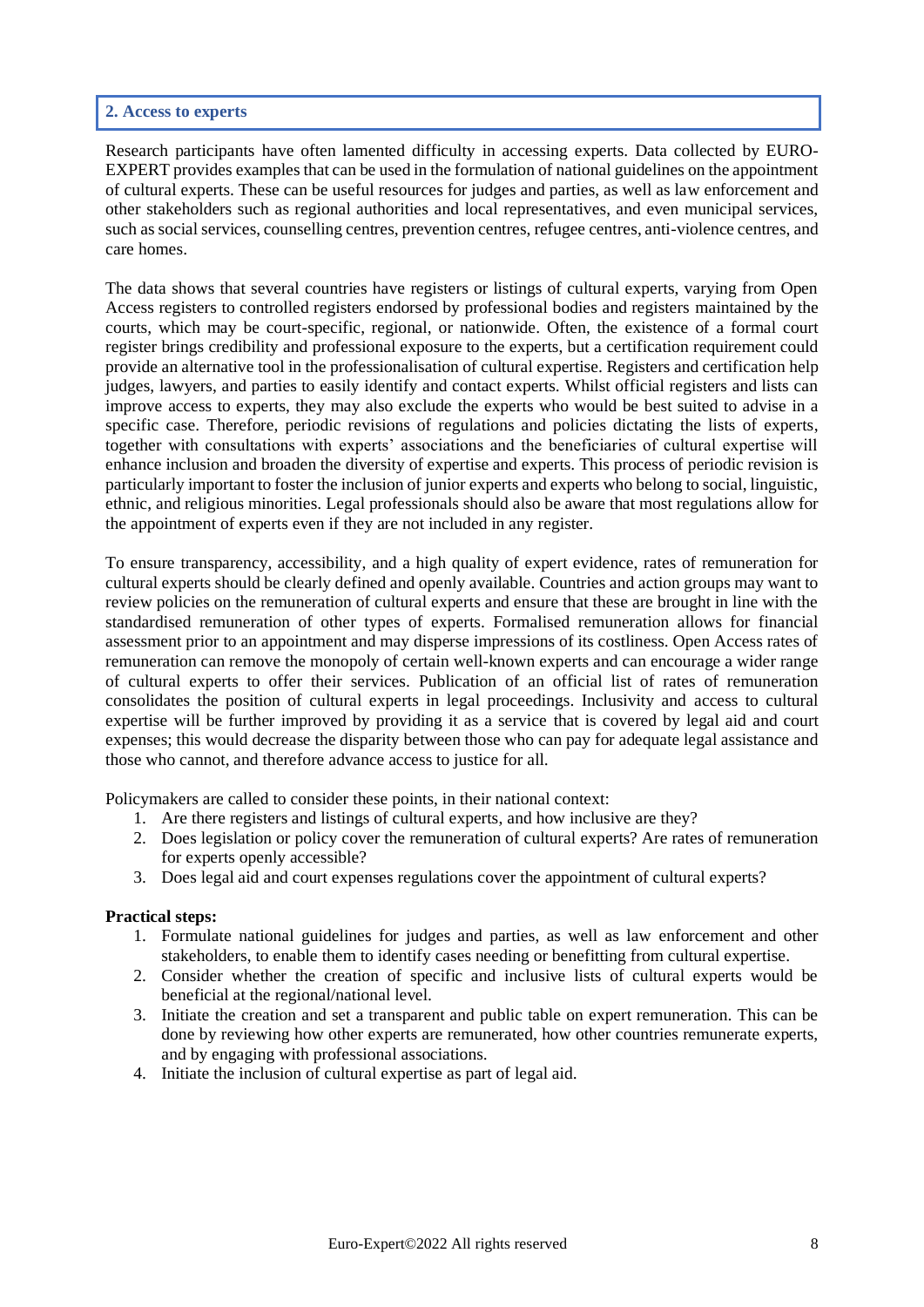## <span id="page-7-0"></span>**2. Access to experts**

Research participants have often lamented difficulty in accessing experts. Data collected by EURO-EXPERT provides examples that can be used in the formulation of national guidelines on the appointment of cultural experts. These can be useful resources for judges and parties, as well as law enforcement and other stakeholders such as regional authorities and local representatives, and even municipal services, such as social services, counselling centres, prevention centres, refugee centres, anti-violence centres, and care homes.

The data shows that several countries have registers or listings of cultural experts, varying from Open Access registers to controlled registers endorsed by professional bodies and registers maintained by the courts, which may be court-specific, regional, or nationwide. Often, the existence of a formal court register brings credibility and professional exposure to the experts, but a certification requirement could provide an alternative tool in the professionalisation of cultural expertise. Registers and certification help judges, lawyers, and parties to easily identify and contact experts. Whilst official registers and lists can improve access to experts, they may also exclude the experts who would be best suited to advise in a specific case. Therefore, periodic revisions of regulations and policies dictating the lists of experts, together with consultations with experts' associations and the beneficiaries of cultural expertise will enhance inclusion and broaden the diversity of expertise and experts. This process of periodic revision is particularly important to foster the inclusion of junior experts and experts who belong to social, linguistic, ethnic, and religious minorities. Legal professionals should also be aware that most regulations allow for the appointment of experts even if they are not included in any register.

To ensure transparency, accessibility, and a high quality of expert evidence, rates of remuneration for cultural experts should be clearly defined and openly available. Countries and action groups may want to review policies on the remuneration of cultural experts and ensure that these are brought in line with the standardised remuneration of other types of experts. Formalised remuneration allows for financial assessment prior to an appointment and may disperse impressions of its costliness. Open Access rates of remuneration can remove the monopoly of certain well-known experts and can encourage a wider range of cultural experts to offer their services. Publication of an official list of rates of remuneration consolidates the position of cultural experts in legal proceedings. Inclusivity and access to cultural expertise will be further improved by providing it as a service that is covered by legal aid and court expenses; this would decrease the disparity between those who can pay for adequate legal assistance and those who cannot, and therefore advance access to justice for all.

Policymakers are called to consider these points, in their national context:

- 1. Are there registers and listings of cultural experts, and how inclusive are they?
- 2. Does legislation or policy cover the remuneration of cultural experts? Are rates of remuneration for experts openly accessible?
- 3. Does legal aid and court expenses regulations cover the appointment of cultural experts?

- 1. Formulate national guidelines for judges and parties, as well as law enforcement and other stakeholders, to enable them to identify cases needing or benefitting from cultural expertise.
- 2. Consider whether the creation of specific and inclusive lists of cultural experts would be beneficial at the regional/national level.
- 3. Initiate the creation and set a transparent and public table on expert remuneration. This can be done by reviewing how other experts are remunerated, how other countries remunerate experts, and by engaging with professional associations.
- 4. Initiate the inclusion of cultural expertise as part of legal aid.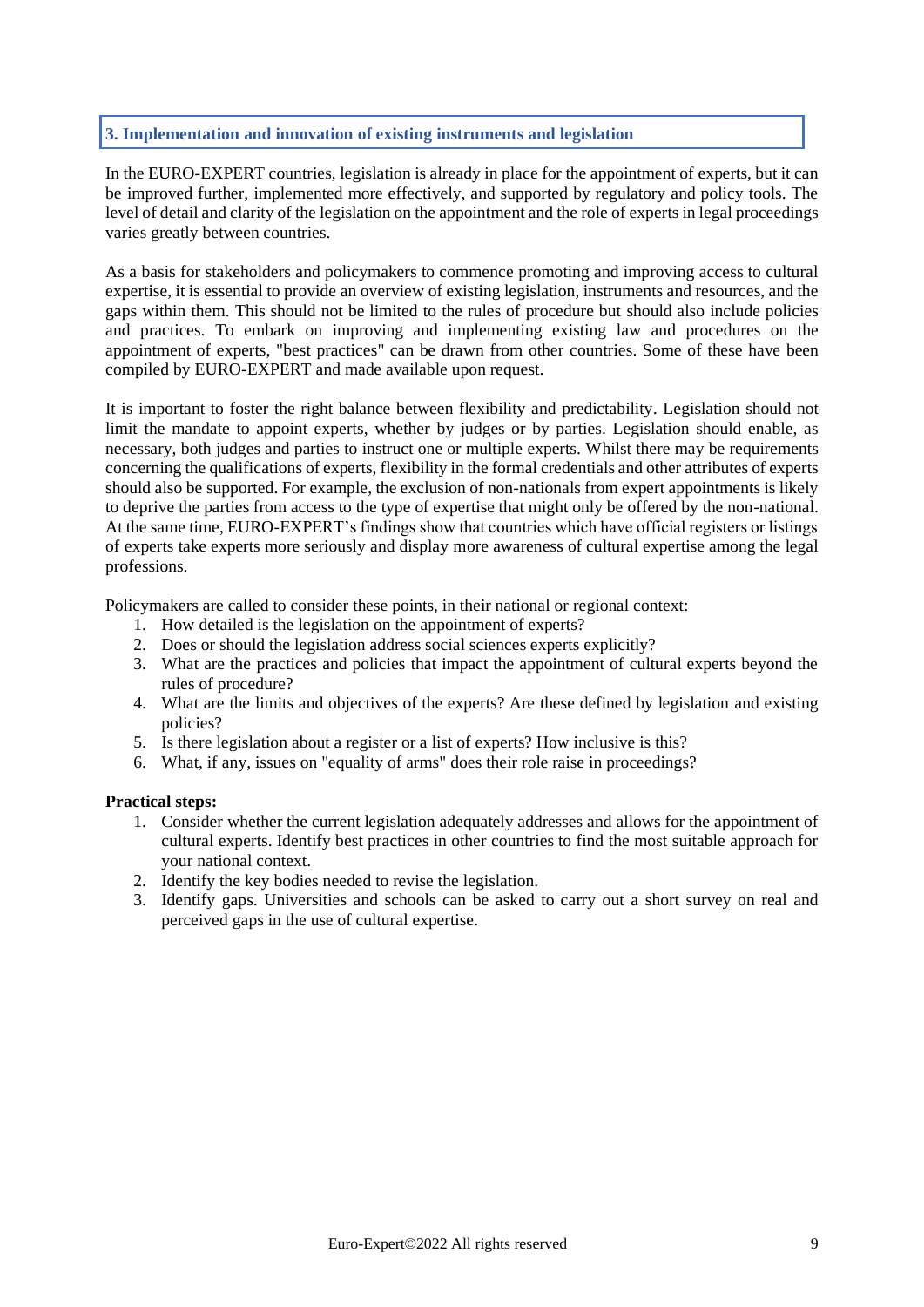## <span id="page-8-0"></span>**3. Implementation and innovation of existing instruments and legislation**

In the EURO-EXPERT countries, legislation is already in place for the appointment of experts, but it can be improved further, implemented more effectively, and supported by regulatory and policy tools. The level of detail and clarity of the legislation on the appointment and the role of experts in legal proceedings varies greatly between countries.

As a basis for stakeholders and policymakers to commence promoting and improving access to cultural expertise, it is essential to provide an overview of existing legislation, instruments and resources, and the gaps within them. This should not be limited to the rules of procedure but should also include policies and practices. To embark on improving and implementing existing law and procedures on the appointment of experts, "best practices" can be drawn from other countries. Some of these have been compiled by EURO-EXPERT and made available upon request.

It is important to foster the right balance between flexibility and predictability. Legislation should not limit the mandate to appoint experts, whether by judges or by parties. Legislation should enable, as necessary, both judges and parties to instruct one or multiple experts. Whilst there may be requirements concerning the qualifications of experts, flexibility in the formal credentials and other attributes of experts should also be supported. For example, the exclusion of non-nationals from expert appointments is likely to deprive the parties from access to the type of expertise that might only be offered by the non-national. At the same time, EURO-EXPERT's findings show that countries which have official registers or listings of experts take experts more seriously and display more awareness of cultural expertise among the legal professions.

Policymakers are called to consider these points, in their national or regional context:

- 1. How detailed is the legislation on the appointment of experts?
- 2. Does or should the legislation address social sciences experts explicitly?
- 3. What are the practices and policies that impact the appointment of cultural experts beyond the rules of procedure?
- 4. What are the limits and objectives of the experts? Are these defined by legislation and existing policies?
- 5. Is there legislation about a register or a list of experts? How inclusive is this?
- 6. What, if any, issues on "equality of arms" does their role raise in proceedings?

- 1. Consider whether the current legislation adequately addresses and allows for the appointment of cultural experts. Identify best practices in other countries to find the most suitable approach for your national context.
- 2. Identify the key bodies needed to revise the legislation.
- 3. Identify gaps. Universities and schools can be asked to carry out a short survey on real and perceived gaps in the use of cultural expertise.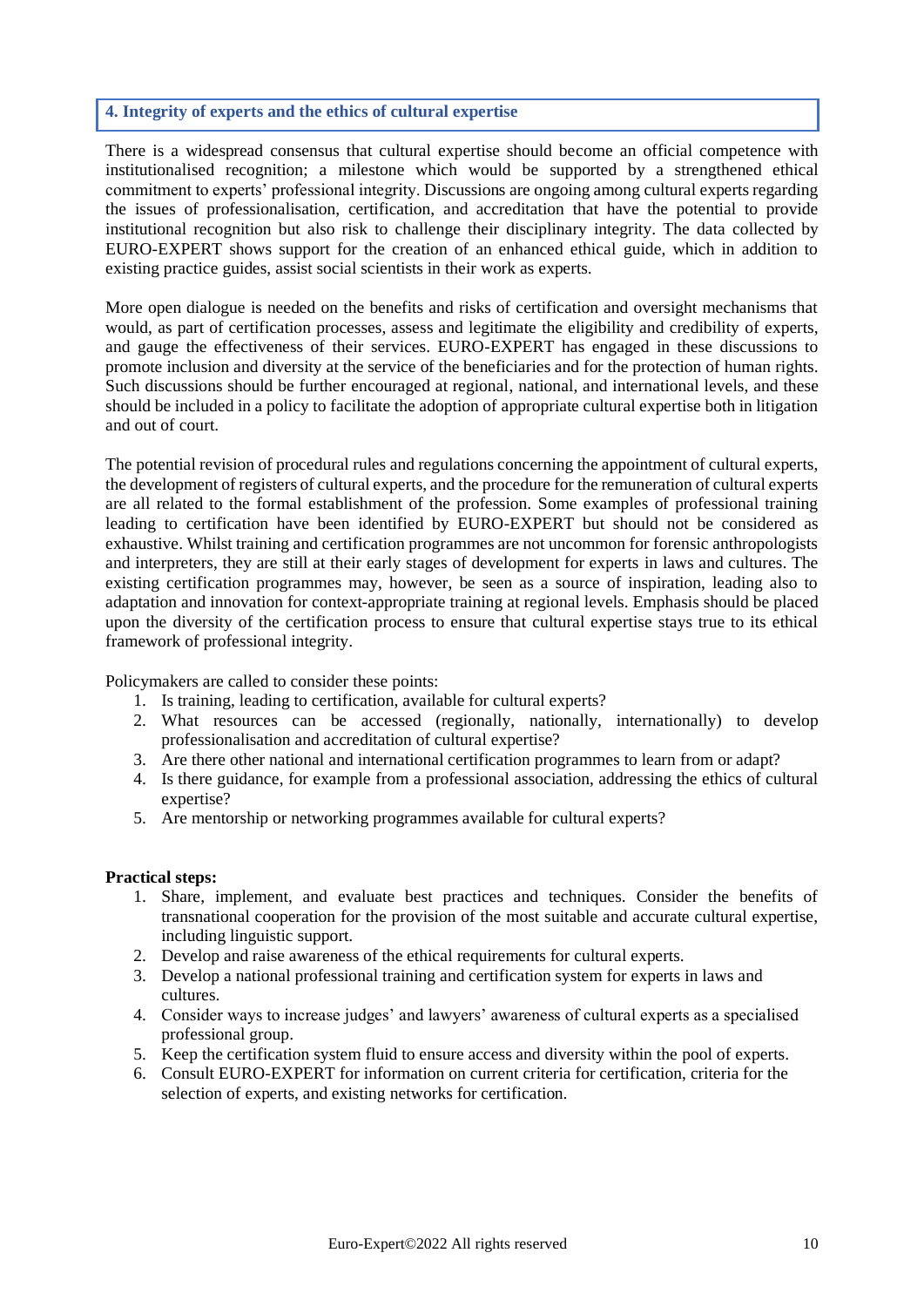## <span id="page-9-0"></span>**4. Integrity of experts and the ethics of cultural expertise**

There is a widespread consensus that cultural expertise should become an official competence with institutionalised recognition; a milestone which would be supported by a strengthened ethical commitment to experts' professional integrity. Discussions are ongoing among cultural experts regarding the issues of professionalisation, certification, and accreditation that have the potential to provide institutional recognition but also risk to challenge their disciplinary integrity. The data collected by EURO-EXPERT shows support for the creation of an enhanced ethical guide, which in addition to existing practice guides, assist social scientists in their work as experts.

More open dialogue is needed on the benefits and risks of certification and oversight mechanisms that would, as part of certification processes, assess and legitimate the eligibility and credibility of experts, and gauge the effectiveness of their services. EURO-EXPERT has engaged in these discussions to promote inclusion and diversity at the service of the beneficiaries and for the protection of human rights. Such discussions should be further encouraged at regional, national, and international levels, and these should be included in a policy to facilitate the adoption of appropriate cultural expertise both in litigation and out of court.

The potential revision of procedural rules and regulations concerning the appointment of cultural experts, the development of registers of cultural experts, and the procedure for the remuneration of cultural experts are all related to the formal establishment of the profession. Some examples of professional training leading to certification have been identified by EURO-EXPERT but should not be considered as exhaustive. Whilst training and certification programmes are not uncommon for forensic anthropologists and interpreters, they are still at their early stages of development for experts in laws and cultures. The existing certification programmes may, however, be seen as a source of inspiration, leading also to adaptation and innovation for context-appropriate training at regional levels. Emphasis should be placed upon the diversity of the certification process to ensure that cultural expertise stays true to its ethical framework of professional integrity.

Policymakers are called to consider these points:

- 1. Is training, leading to certification, available for cultural experts?
- 2. What resources can be accessed (regionally, nationally, internationally) to develop professionalisation and accreditation of cultural expertise?
- 3. Are there other national and international certification programmes to learn from or adapt?
- 4. Is there guidance, for example from a professional association, addressing the ethics of cultural expertise?
- 5. Are mentorship or networking programmes available for cultural experts?

- 1. Share, implement, and evaluate best practices and techniques. Consider the benefits of transnational cooperation for the provision of the most suitable and accurate cultural expertise, including linguistic support.
- 2. Develop and raise awareness of the ethical requirements for cultural experts.
- 3. Develop a national professional training and certification system for experts in laws and cultures.
- 4. Consider ways to increase judges' and lawyers' awareness of cultural experts as a specialised professional group.
- 5. Keep the certification system fluid to ensure access and diversity within the pool of experts.
- 6. Consult EURO-EXPERT for information on current criteria for certification, criteria for the selection of experts, and existing networks for certification.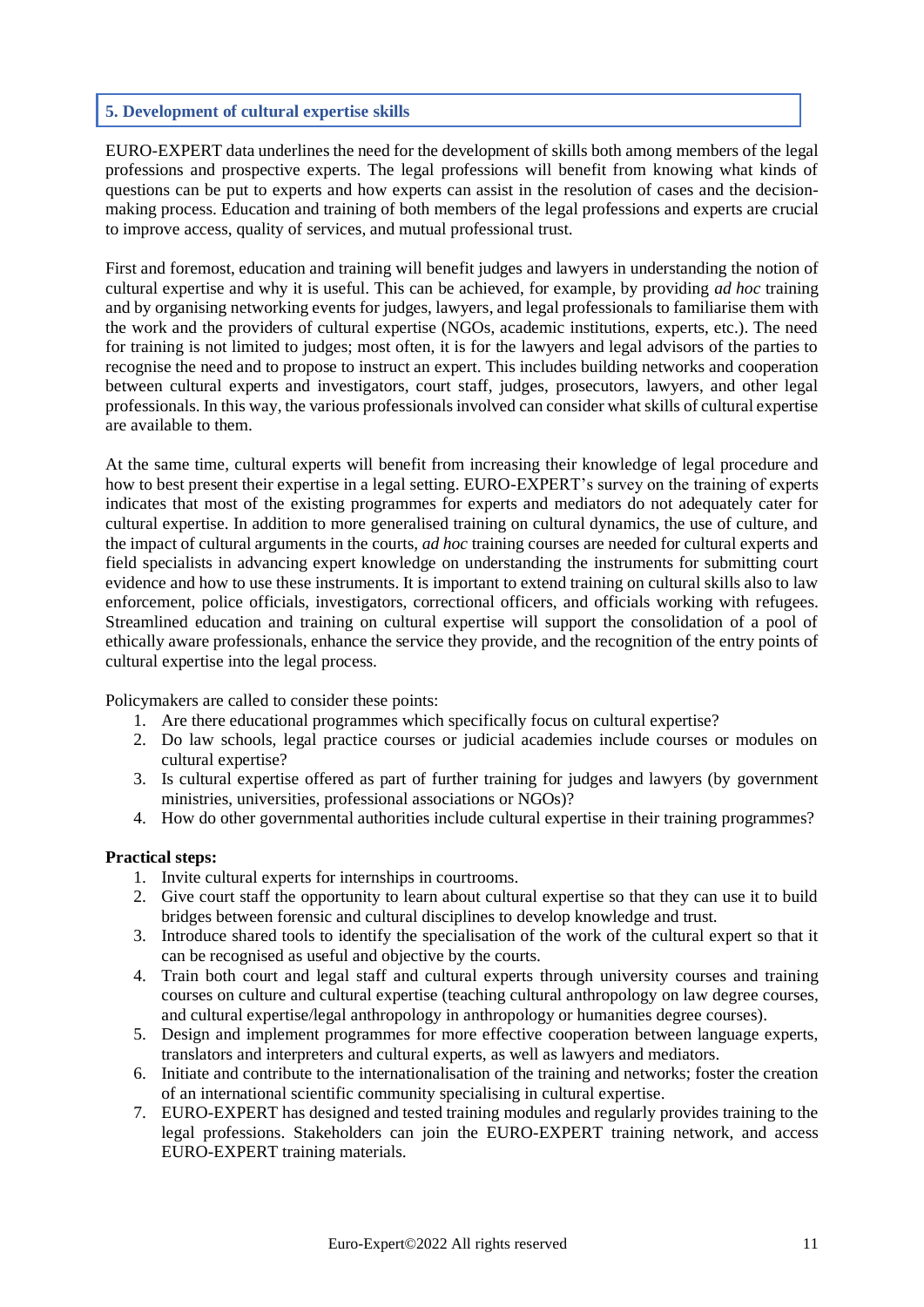# <span id="page-10-0"></span>**5. Development of cultural expertise skills**

EURO-EXPERT data underlines the need for the development of skills both among members of the legal professions and prospective experts. The legal professions will benefit from knowing what kinds of questions can be put to experts and how experts can assist in the resolution of cases and the decisionmaking process. Education and training of both members of the legal professions and experts are crucial to improve access, quality of services, and mutual professional trust.

First and foremost, education and training will benefit judges and lawyers in understanding the notion of cultural expertise and why it is useful. This can be achieved, for example, by providing *ad hoc* training and by organising networking events for judges, lawyers, and legal professionals to familiarise them with the work and the providers of cultural expertise (NGOs, academic institutions, experts, etc.). The need for training is not limited to judges; most often, it is for the lawyers and legal advisors of the parties to recognise the need and to propose to instruct an expert. This includes building networks and cooperation between cultural experts and investigators, court staff, judges, prosecutors, lawyers, and other legal professionals. In this way, the various professionals involved can consider what skills of cultural expertise are available to them.

At the same time, cultural experts will benefit from increasing their knowledge of legal procedure and how to best present their expertise in a legal setting. EURO-EXPERT's survey on the training of experts indicates that most of the existing programmes for experts and mediators do not adequately cater for cultural expertise. In addition to more generalised training on cultural dynamics, the use of culture, and the impact of cultural arguments in the courts, *ad hoc* training courses are needed for cultural experts and field specialists in advancing expert knowledge on understanding the instruments for submitting court evidence and how to use these instruments. It is important to extend training on cultural skills also to law enforcement, police officials, investigators, correctional officers, and officials working with refugees. Streamlined education and training on cultural expertise will support the consolidation of a pool of ethically aware professionals, enhance the service they provide, and the recognition of the entry points of cultural expertise into the legal process.

Policymakers are called to consider these points:

- 1. Are there educational programmes which specifically focus on cultural expertise?
- 2. Do law schools, legal practice courses or judicial academies include courses or modules on cultural expertise?
- 3. Is cultural expertise offered as part of further training for judges and lawyers (by government ministries, universities, professional associations or NGOs)?
- 4. How do other governmental authorities include cultural expertise in their training programmes?

- 1. Invite cultural experts for internships in courtrooms.
- 2. Give court staff the opportunity to learn about cultural expertise so that they can use it to build bridges between forensic and cultural disciplines to develop knowledge and trust.
- 3. Introduce shared tools to identify the specialisation of the work of the cultural expert so that it can be recognised as useful and objective by the courts.
- 4. Train both court and legal staff and cultural experts through university courses and training courses on culture and cultural expertise (teaching cultural anthropology on law degree courses, and cultural expertise/legal anthropology in anthropology or humanities degree courses).
- 5. Design and implement programmes for more effective cooperation between language experts, translators and interpreters and cultural experts, as well as lawyers and mediators.
- 6. Initiate and contribute to the internationalisation of the training and networks; foster the creation of an international scientific community specialising in cultural expertise.
- 7. EURO-EXPERT has designed and tested training modules and regularly provides training to the legal professions. Stakeholders can join the EURO-EXPERT training network, and access EURO-EXPERT training materials.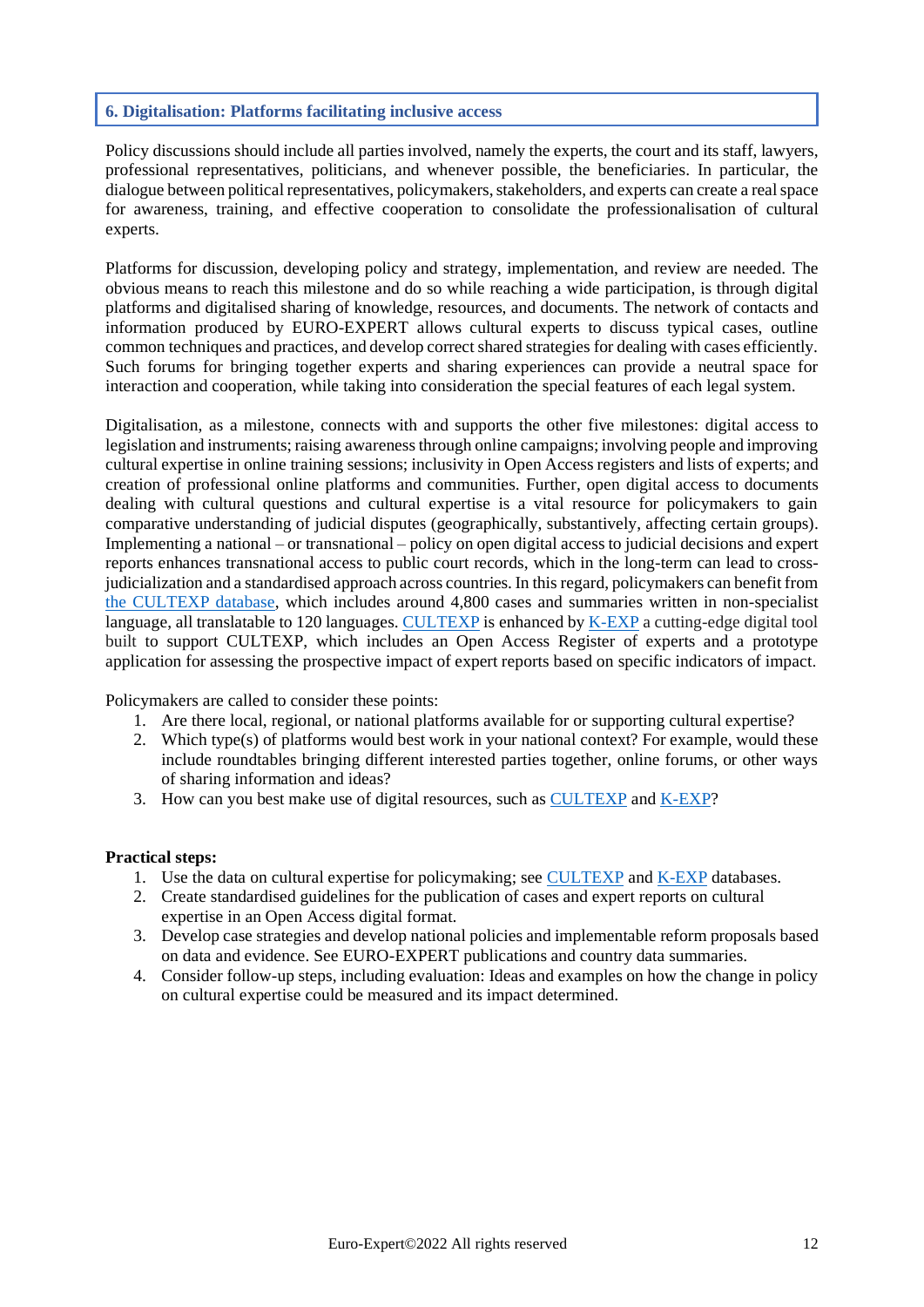# <span id="page-11-0"></span>**6. Digitalisation: Platforms facilitating inclusive access**

Policy discussions should include all parties involved, namely the experts, the court and its staff, lawyers, professional representatives, politicians, and whenever possible, the beneficiaries. In particular, the dialogue between political representatives, policymakers, stakeholders, and experts can create a real space for awareness, training, and effective cooperation to consolidate the professionalisation of cultural experts.

Platforms for discussion, developing policy and strategy, implementation, and review are needed. The obvious means to reach this milestone and do so while reaching a wide participation, is through digital platforms and digitalised sharing of knowledge, resources, and documents. The network of contacts and information produced by EURO-EXPERT allows cultural experts to discuss typical cases, outline common techniques and practices, and develop correct shared strategies for dealing with cases efficiently. Such forums for bringing together experts and sharing experiences can provide a neutral space for interaction and cooperation, while taking into consideration the special features of each legal system.

Digitalisation, as a milestone, connects with and supports the other five milestones: digital access to legislation and instruments; raising awareness through online campaigns; involving people and improving cultural expertise in online training sessions; inclusivity in Open Access registers and lists of experts; and creation of professional online platforms and communities. Further, open digital access to documents dealing with cultural questions and cultural expertise is a vital resource for policymakers to gain comparative understanding of judicial disputes (geographically, substantively, affecting certain groups). Implementing a national – or transnational – policy on open digital access to judicial decisions and expert reports enhances transnational access to public court records, which in the long-term can lead to crossjudicialization and a standardised approach across countries. In this regard, policymakers can benefit from [the CULTEXP database,](https://culturalexpertise.net/cultexp/) which includes around 4,800 cases and summaries written in non-specialist language, all translatable to 120 languages. [CULTEXP](https://culturalexpertise.net/cultexp/) is enhanced by [K-EXP](https://culturalexpertise.net/k-exp/login) a cutting-edge digital tool built to support CULTEXP, which includes an Open Access Register of experts and a prototype application for assessing the prospective impact of expert reports based on specific indicators of impact.

Policymakers are called to consider these points:

- 1. Are there local, regional, or national platforms available for or supporting cultural expertise?
- 2. Which type(s) of platforms would best work in your national context? For example, would these include roundtables bringing different interested parties together, online forums, or other ways of sharing information and ideas?
- 3. How can you best make use of digital resources, such as [CULTEXP](https://culturalexpertise.net/cultexp/) and [K-EXP?](https://culturalexpertise.net/k-exp/login)

- 1. Use the data on cultural expertise for policymaking; see [CULTEXP](https://culturalexpertise.net/cultexp/) and [K-EXP](https://culturalexpertise.net/k-exp/login) databases.
- 2. Create standardised guidelines for the publication of cases and expert reports on cultural expertise in an Open Access digital format.
- 3. Develop case strategies and develop national policies and implementable reform proposals based on data and evidence. See EURO-EXPERT publications and country data summaries.
- 4. Consider follow-up steps, including evaluation: Ideas and examples on how the change in policy on cultural expertise could be measured and its impact determined.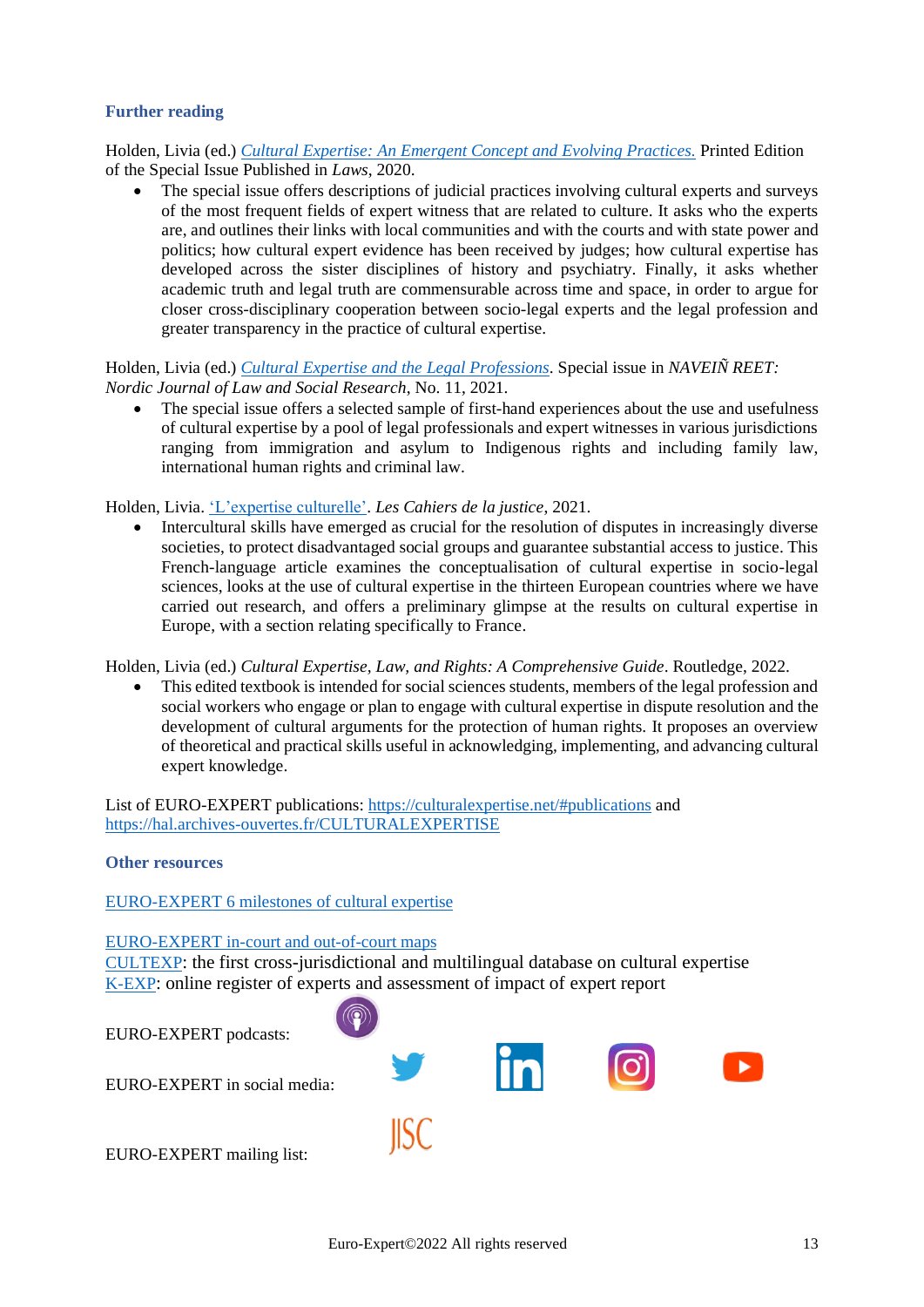# <span id="page-12-0"></span>**Further reading**

Holden, Livia (ed.) *[Cultural Expertise: An Emergent Concept and Evolving Practices.](https://www.mdpi.com/books/pdfview/book/1973)* Printed Edition of the Special Issue Published in *Laws*, 2020.

The special issue offers descriptions of judicial practices involving cultural experts and surveys of the most frequent fields of expert witness that are related to culture. It asks who the experts are, and outlines their links with local communities and with the courts and with state power and politics; how cultural expert evidence has been received by judges; how cultural expertise has developed across the sister disciplines of history and psychiatry. Finally, it asks whether academic truth and legal truth are commensurable across time and space, in order to argue for closer cross-disciplinary cooperation between socio-legal experts and the legal profession and greater transparency in the practice of cultural expertise.

Holden, Livia (ed.) *[Cultural Expertise and the Legal Professions](https://tidsskrift.dk/nnjlsr/issue/view/9629/1637)*. Special issue in *NAVEIÑ REET: Nordic Journal of Law and Social Research*, No. 11, 2021.

• The special issue offers a selected sample of first-hand experiences about the use and usefulness of cultural expertise by a pool of legal professionals and expert witnesses in various jurisdictions ranging from immigration and asylum to Indigenous rights and including family law, international human rights and criminal law.

Holden, Livia[. 'L'expertise culturelle'.](https://hal.archives-ouvertes.fr/hal-03161479/document) *Les Cahiers de la justice*, 2021.

• Intercultural skills have emerged as crucial for the resolution of disputes in increasingly diverse societies, to protect disadvantaged social groups and guarantee substantial access to justice. This French-language article examines the conceptualisation of cultural expertise in socio-legal sciences, looks at the use of cultural expertise in the thirteen European countries where we have carried out research, and offers a preliminary glimpse at the results on cultural expertise in Europe, with a section relating specifically to France.

Holden, Livia (ed.) *Cultural Expertise, Law, and Rights: A Comprehensive Guide*. Routledge, 2022.

• This edited textbook is intended for social sciences students, members of the legal profession and social workers who engage or plan to engage with cultural expertise in dispute resolution and the development of cultural arguments for the protection of human rights. It proposes an overview of theoretical and practical skills useful in acknowledging, implementing, and advancing cultural expert knowledge.

List of EURO-EXPERT publications:<https://culturalexpertise.net/#publications> and <https://hal.archives-ouvertes.fr/CULTURALEXPERTISE>

<span id="page-12-1"></span>**Other resources**

[EURO-EXPERT 6 milestones of cultural expertise](https://culturalexpertise.net/wp-content/uploads/2022/05/EURO-EXPERTshortpolicyonCulturalExpertise.pdf)

[EURO-EXPERT in-court and out-of-court maps](https://culturalexpertise.net/)

[CULTEXP](https://culturalexpertise.net/cultexp/): the first cross-jurisdictional and multilingual database on cultural expertise [K-EXP](https://culturalexpertise.net/k-exp/login): online register of expe[rts and](https://podcasts.apple.com/us/podcast/what-is-cultrual-expertise/id1516978738?ign-mpt=uo=4) assessment of impact of expert report

**IISC** 

EURO-EXPERT podcasts:

EURO-EXPERT in social media:

EURO-EXPERT mailing list:

 $\blacktriangleright$